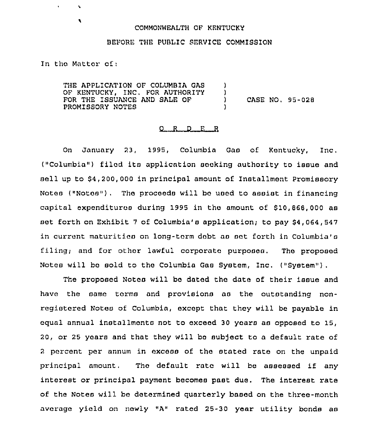## COMMONWEALTH OF KENTUCKY

## BEFORE THE PUBLIC SERVICE COMMISSION

In tho Matter of;

 $\mathbf{v}$ 

 $\bullet$ 

THE APPLICATION OF COLUMB1A GAS OF KENTUCKY, INC. FOR AUTHORITY FOR THE ISSUANCE AND SALE OF PROMISSORY NOTES ) ) )

) CASE NO, 95-028

## $Q$  R  $D$  E R

On January 23, 1995, Columbia Gaa of Kentucky, Inc. ("Columbia") filod its application sooking authority to issue and sell up to \$4,200,000 in principal amount of Installment Promissory Notes ("Notos"). Tho proceods will bo uaod to assist in financing capital expenditures during 1995 in the amount of \$10,868,000 as set forth on Exhibit 7 of Columbia's application; to pay \$4,064,547 in current maturitios on long-term dobt as sot forth in Columbia's filing; and for other lawful corporate purposes. The proposed Notes will be sold to the Columbia Gas System, Inc. ("System" ).

The proposed Notos will be dated the date of their issue and have the same torms and provisions as the outstanding nonregistered Notes of Columbia, except that they will be payable in equal annual installments not to oxceed 30 years as opposed to 15, 20, or 25 years and that thoy will bo subject to a default rate of <sup>2</sup> percent per annum in excess of the stated rate on the unpaid principal amount. Tho default rate will be assessed if any interest or principal payment becomes past due. The interest rate of the Notes will bo determined quarterly based on the three-month average yield on newly "A" rated 25-30 year utility bonds as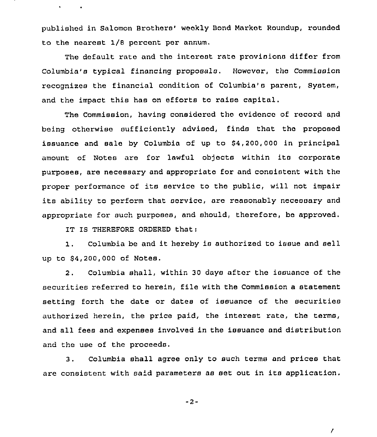published in Salomon Brothers' weekly Bond Market Roundup, rounded to the nearest 1/8 percent per annum,

The default rate and the interest rate provisions differ from Columbia's typical financing proposals, However, the Commission recognizes the financial condition of Columbia's parent, System, and the impact this has on efforts to raise capital.

The Commission, having considored tho ovidonco of record and being otherwise sufficiontly advised, finds that tho proposed issuance and sale by Columbia of up to S4,200, 000 in principal amount of Notes are for lawful objects within its corporate purposes, are necessary and appropriate for and consistont with the proper performance of its service to the public, will not impair ite ability to perform that sorvico, are reasonably necessary and appropriate for such purposes, and should, thorefora, bo approved.

IT IS THEREFORE ORDERED that;

 $\mathbf{v}$  .

1. Columbia be and it hereby is authorized to issue and sell up to \$4,200,000 of Notes,

2. Columbia shall, within 30 days after the issuance of the securities referred to herein, file with the Commission a statement setting forth the date or dates of issuance of the securities authorized herein, the price paid, the interest rate, the terms, and all fees and expenses involved in the issuance and distribution and the use of the proceeds.

Columbia shall agree only to such terms and prices that  $3.$ are consistent with said parameters as set out in its application.

 $-2-$